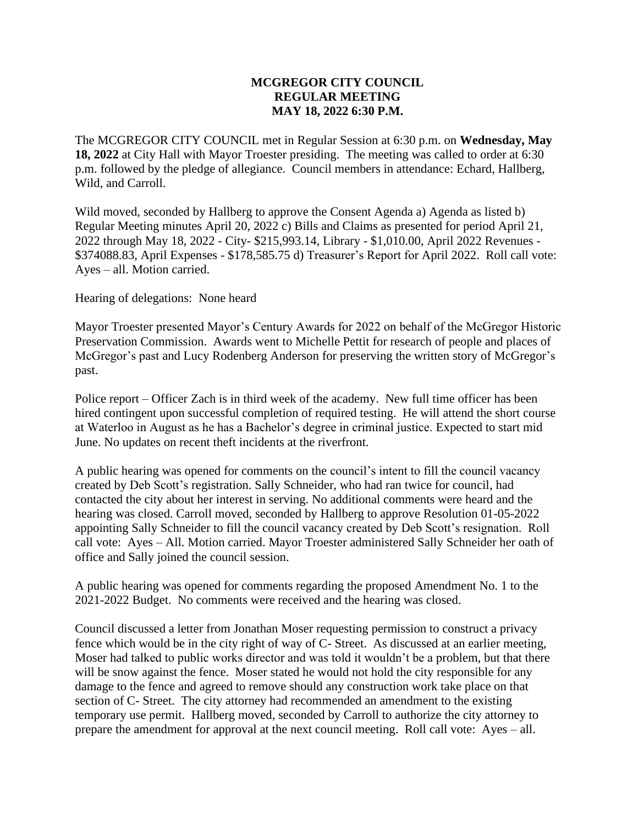## **MCGREGOR CITY COUNCIL REGULAR MEETING MAY 18, 2022 6:30 P.M.**

The MCGREGOR CITY COUNCIL met in Regular Session at 6:30 p.m. on **Wednesday, May 18, 2022** at City Hall with Mayor Troester presiding. The meeting was called to order at 6:30 p.m. followed by the pledge of allegiance. Council members in attendance: Echard, Hallberg, Wild, and Carroll.

Wild moved, seconded by Hallberg to approve the Consent Agenda a) Agenda as listed b) Regular Meeting minutes April 20, 2022 c) Bills and Claims as presented for period April 21, 2022 through May 18, 2022 - City- \$215,993.14, Library - \$1,010.00, April 2022 Revenues - \$374088.83, April Expenses - \$178,585.75 d) Treasurer's Report for April 2022. Roll call vote: Ayes – all. Motion carried.

Hearing of delegations: None heard

Mayor Troester presented Mayor's Century Awards for 2022 on behalf of the McGregor Historic Preservation Commission. Awards went to Michelle Pettit for research of people and places of McGregor's past and Lucy Rodenberg Anderson for preserving the written story of McGregor's past.

Police report – Officer Zach is in third week of the academy. New full time officer has been hired contingent upon successful completion of required testing. He will attend the short course at Waterloo in August as he has a Bachelor's degree in criminal justice. Expected to start mid June. No updates on recent theft incidents at the riverfront.

A public hearing was opened for comments on the council's intent to fill the council vacancy created by Deb Scott's registration. Sally Schneider, who had ran twice for council, had contacted the city about her interest in serving. No additional comments were heard and the hearing was closed. Carroll moved, seconded by Hallberg to approve Resolution 01-05-2022 appointing Sally Schneider to fill the council vacancy created by Deb Scott's resignation. Roll call vote: Ayes – All. Motion carried. Mayor Troester administered Sally Schneider her oath of office and Sally joined the council session.

A public hearing was opened for comments regarding the proposed Amendment No. 1 to the 2021-2022 Budget. No comments were received and the hearing was closed.

Council discussed a letter from Jonathan Moser requesting permission to construct a privacy fence which would be in the city right of way of C- Street. As discussed at an earlier meeting, Moser had talked to public works director and was told it wouldn't be a problem, but that there will be snow against the fence. Moser stated he would not hold the city responsible for any damage to the fence and agreed to remove should any construction work take place on that section of C- Street. The city attorney had recommended an amendment to the existing temporary use permit. Hallberg moved, seconded by Carroll to authorize the city attorney to prepare the amendment for approval at the next council meeting. Roll call vote: Ayes – all.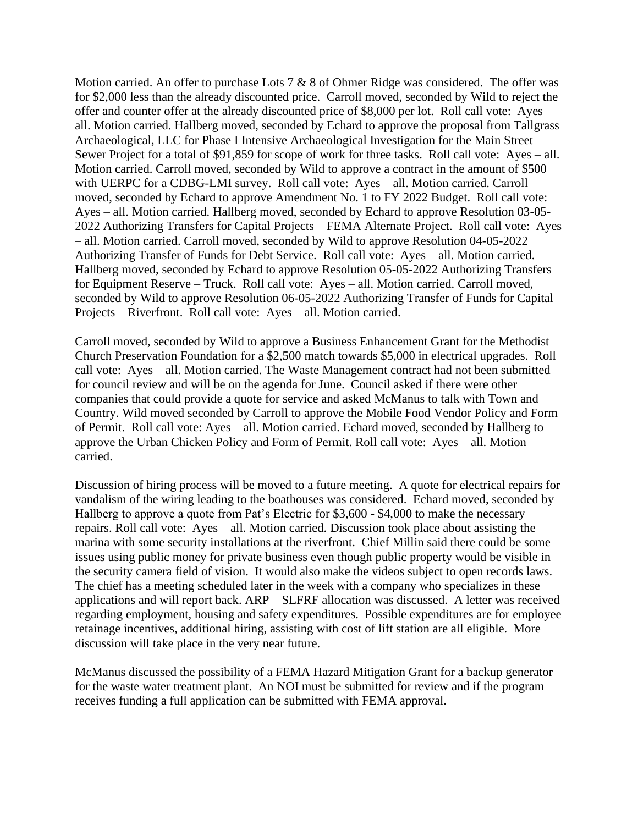Motion carried. An offer to purchase Lots  $7 & 8 & 8$  of Ohmer Ridge was considered. The offer was for \$2,000 less than the already discounted price. Carroll moved, seconded by Wild to reject the offer and counter offer at the already discounted price of \$8,000 per lot. Roll call vote: Ayes – all. Motion carried. Hallberg moved, seconded by Echard to approve the proposal from Tallgrass Archaeological, LLC for Phase I Intensive Archaeological Investigation for the Main Street Sewer Project for a total of \$91,859 for scope of work for three tasks. Roll call vote: Ayes – all. Motion carried. Carroll moved, seconded by Wild to approve a contract in the amount of \$500 with UERPC for a CDBG-LMI survey. Roll call vote: Ayes – all. Motion carried. Carroll moved, seconded by Echard to approve Amendment No. 1 to FY 2022 Budget. Roll call vote: Ayes – all. Motion carried. Hallberg moved, seconded by Echard to approve Resolution 03-05- 2022 Authorizing Transfers for Capital Projects – FEMA Alternate Project. Roll call vote: Ayes – all. Motion carried. Carroll moved, seconded by Wild to approve Resolution 04-05-2022 Authorizing Transfer of Funds for Debt Service. Roll call vote: Ayes – all. Motion carried. Hallberg moved, seconded by Echard to approve Resolution 05-05-2022 Authorizing Transfers for Equipment Reserve – Truck. Roll call vote: Ayes – all. Motion carried. Carroll moved, seconded by Wild to approve Resolution 06-05-2022 Authorizing Transfer of Funds for Capital Projects – Riverfront. Roll call vote: Ayes – all. Motion carried.

Carroll moved, seconded by Wild to approve a Business Enhancement Grant for the Methodist Church Preservation Foundation for a \$2,500 match towards \$5,000 in electrical upgrades. Roll call vote: Ayes – all. Motion carried. The Waste Management contract had not been submitted for council review and will be on the agenda for June. Council asked if there were other companies that could provide a quote for service and asked McManus to talk with Town and Country. Wild moved seconded by Carroll to approve the Mobile Food Vendor Policy and Form of Permit. Roll call vote: Ayes – all. Motion carried. Echard moved, seconded by Hallberg to approve the Urban Chicken Policy and Form of Permit. Roll call vote: Ayes – all. Motion carried.

Discussion of hiring process will be moved to a future meeting. A quote for electrical repairs for vandalism of the wiring leading to the boathouses was considered. Echard moved, seconded by Hallberg to approve a quote from Pat's Electric for \$3,600 - \$4,000 to make the necessary repairs. Roll call vote: Ayes – all. Motion carried. Discussion took place about assisting the marina with some security installations at the riverfront. Chief Millin said there could be some issues using public money for private business even though public property would be visible in the security camera field of vision. It would also make the videos subject to open records laws. The chief has a meeting scheduled later in the week with a company who specializes in these applications and will report back. ARP – SLFRF allocation was discussed. A letter was received regarding employment, housing and safety expenditures. Possible expenditures are for employee retainage incentives, additional hiring, assisting with cost of lift station are all eligible. More discussion will take place in the very near future.

McManus discussed the possibility of a FEMA Hazard Mitigation Grant for a backup generator for the waste water treatment plant. An NOI must be submitted for review and if the program receives funding a full application can be submitted with FEMA approval.